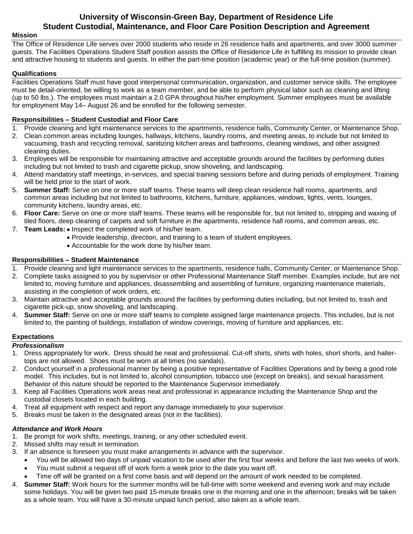# **University of Wisconsin-Green Bay, Department of Residence Life Student Custodial, Maintenance, and Floor Care Position Description and Agreement**

#### **Mission**

The Office of Residence Life serves over 2000 students who reside in 26 residence halls and apartments, and over 3000 summer guests. The Facilities Operations Student Staff position assists the Office of Residence Life in fulfilling its mission to provide clean and attractive housing to students and guests. In either the part-time position (academic year) or the full-time position (summer).

## **Qualifications**

Facilities Operations Staff must have good interpersonal communication, organization, and customer service skills. The employee must be detail-oriented, be willing to work as a team member, and be able to perform physical labor such as cleaning and lifting (up to 50 lbs.). The employees must maintain a 2.0 GPA throughout his/her employment. Summer employees must be available for employment May 14– August 26 and be enrolled for the following semester.

#### **Responsibilities – Student Custodial and Floor Care**

- 1. Provide cleaning and light maintenance services to the apartments, residence halls, Community Center, or Maintenance Shop.
- 2. Clean common areas including lounges, hallways, kitchens, laundry rooms, and meeting areas, to include but not limited to vacuuming, trash and recycling removal, sanitizing kitchen areas and bathrooms, cleaning windows, and other assigned cleaning duties.
- 3. Employees will be responsible for maintaining attractive and acceptable grounds around the facilities by performing duties including but not limited to trash and cigarette pickup, snow shoveling, and landscaping.
- 4. Attend mandatory staff meetings, in-services, and special training sessions before and during periods of employment. Training will be held prior to the start of work.
- 5. **Summer Staff:** Serve on one or more staff teams. These teams will deep clean residence hall rooms, apartments, and common areas including but not limited to bathrooms, kitchens, furniture, appliances, windows, lights, vents, lounges, community kitchens, laundry areas, etc.
- 6. **Floor Care:** Serve on one or more staff teams. These teams will be responsible for, but not limited to, stripping and waxing of tiled floors, deep cleaning of carpets and soft furniture in the apartments, residence hall rooms, and common areas, etc.
- 7. **Team Leads:** Inspect the completed work of his/her team.
	- Provide leadership, direction, and training to a team of student employees.
	- Accountable for the work done by his/her team.

#### **Responsibilities – Student Maintenance**

- 1. Provide cleaning and light maintenance services to the apartments, residence halls, Community Center, or Maintenance Shop.
- 2. Complete tasks assigned to you by supervisor or other Professional Maintenance Staff member. Examples include, but are not limited to, moving furniture and appliances, disassembling and assembling of furniture, organizing maintenance materials, assisting in the completion of work orders, etc.
- 3. Maintain attractive and acceptable grounds around the facilities by performing duties including, but not limited to, trash and cigarette pick-up, snow shoveling, and landscaping.
- 4. **Summer Staff:** Serve on one or more staff teams to complete assigned large maintenance projects. This includes, but is not limited to, the painting of buildings, installation of window coverings, moving of furniture and appliances, etc.

# **Expectations**

- *Professionalism*
- 1. Dress appropriately for work. Dress should be neat and professional. Cut-off shirts, shirts with holes, short shorts, and haltertops are not allowed. Shoes must be worn at all times (no sandals).
- 2. Conduct yourself in a professional manner by being a positive representative of Facilities Operations and by being a good role model. This includes, but is not limited to, alcohol consumption, tobacco use (except on breaks), and sexual harassment. Behavior of this nature should be reported to the Maintenance Supervisor immediately.
- 3. Keep all Facilities Operations work areas neat and professional in appearance including the Maintenance Shop and the custodial closets located in each building.
- 4. Treat all equipment with respect and report any damage immediately to your supervisor.
- 5. Breaks must be taken in the designated areas (not in the facilities).

# *Attendance and Work Hours*

- 1. Be prompt for work shifts, meetings, training, or any other scheduled event.
- 2. Missed shifts may result in termination.
- 3. If an absence is foreseen you must make arrangements in advance with the supervisor.
	- You will be allowed two days of unpaid vacation to be used after the first four weeks and before the last two weeks of work.
	- You must submit a request off of work form a week prior to the date you want off.
	- Time off will be granted on a first come basis and will depend on the amount of work needed to be completed.
- 4. **Summer Staff:** Work hours for the summer months will be full-time with some weekend and evening work and may include some holidays. You will be given two paid 15-minute breaks one in the morning and one in the afternoon; breaks will be taken as a whole team. You will have a 30-minute unpaid lunch period, also taken as a whole team.